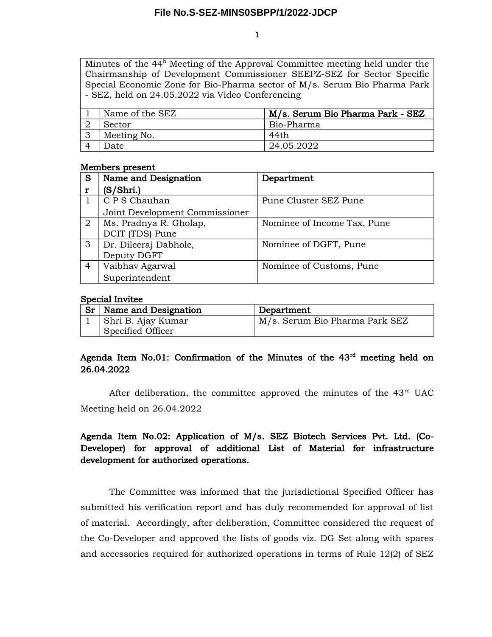1

Minutes of the 44<sup>h</sup> Meeting of the Approval Committee meeting held under the Chairmanship of Development Commissioner SEEPZ-SEZ for Sector Specific Special Economic Zone for Bio-Pharma sector of M/s. Serum Bio Pharma Park - SEZ, held on 24.05.2022 via Video Conferencing

| Name of the SEZ | M/s. Serum Bio Pharma Park - SEZ |
|-----------------|----------------------------------|
| Sector          | Bio-Pharma                       |
| Meeting No.     | 44th                             |
| Date            | 24.05.2022                       |

### Members present

| S              | Name and Designation           | Department                  |
|----------------|--------------------------------|-----------------------------|
|                | (S/Shri.)                      |                             |
|                | C P S Chauhan                  | Pune Cluster SEZ Pune       |
|                | Joint Development Commissioner |                             |
| $\overline{2}$ | Ms. Pradnya R. Gholap,         | Nominee of Income Tax, Pune |
|                | DCIT (TDS) Pune                |                             |
| 3              | Dr. Dileeraj Dabhole,          | Nominee of DGFT, Pune       |
|                | Deputy DGFT                    |                             |
| 4              | Vaibhav Agarwal                | Nominee of Customs, Pune    |
|                | Superintendent                 |                             |

### Special Invitee

| Sr <sub>1</sub> | Name and Designation | Department                     |
|-----------------|----------------------|--------------------------------|
|                 | Shri B. Ajay Kumar   | M/s. Serum Bio Pharma Park SEZ |
|                 | Specified Officer    |                                |

## Agenda Item No.01: Confirmation of the Minutes of the  $43<sup>rd</sup>$  meeting held on 26.04.2022

After deliberation, the committee approved the minutes of the  $43<sup>rd</sup>$  UAC Meeting held on 26.04.2022

# Agenda Item No.02: Application of M/s. SEZ Biotech Services Pvt. Ltd. (Co-Developer) for approval of additional List of Material for infrastructure development for authorized operations.

The Committee was informed that the jurisdictional Specified Officer has submitted his verification report and has duly recommended for approval of list of material. Accordingly, after deliberation, Committee considered the request of the Co-Developer and approved the lists of goods viz. DG Set along with spares and accessories required for authorized operations in terms of Rule 12(2) of SEZ